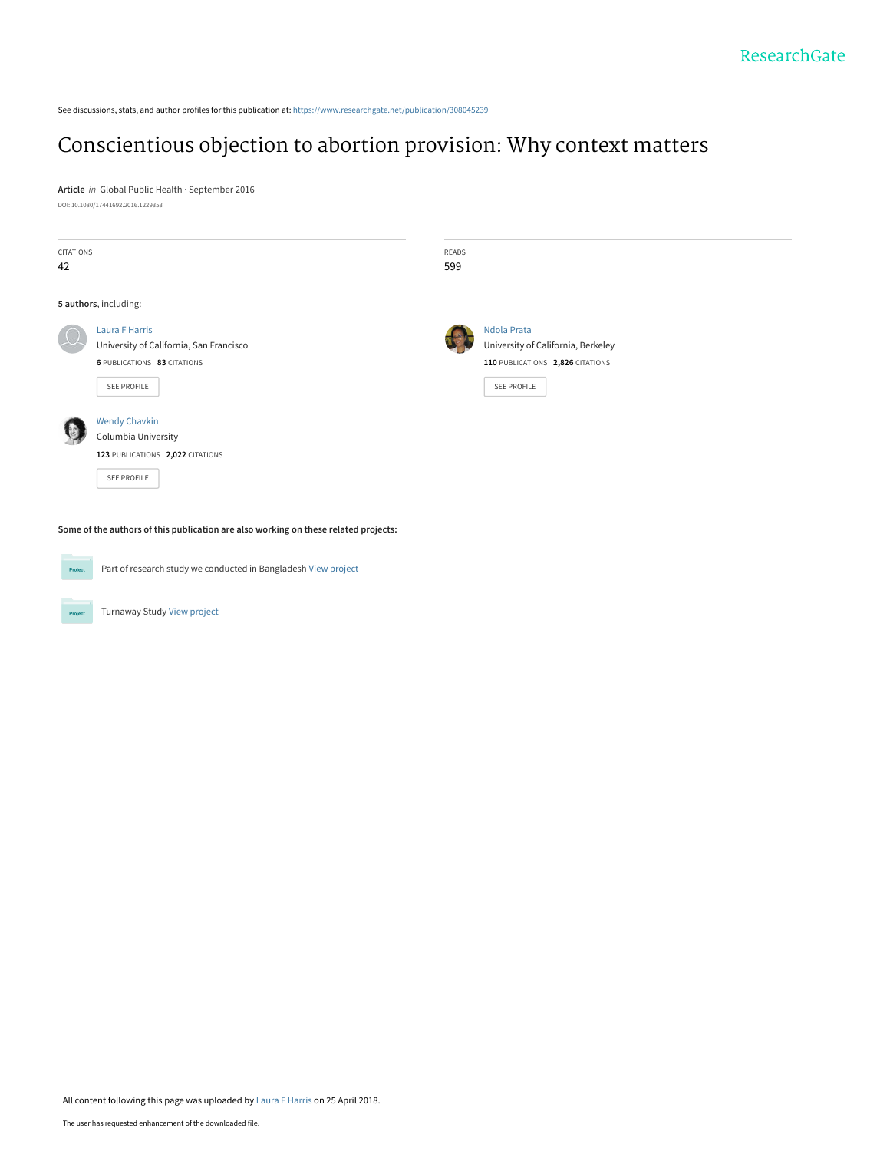See discussions, stats, and author profiles for this publication at: [https://www.researchgate.net/publication/308045239](https://www.researchgate.net/publication/308045239_Conscientious_objection_to_abortion_provision_Why_context_matters?enrichId=rgreq-733d8e54ed30b7dc76b4d35d4cbc0ad6-XXX&enrichSource=Y292ZXJQYWdlOzMwODA0NTIzOTtBUzo2MTkzNzQ4NzIzODc1ODRAMTUyNDY4MTg4NTEwNQ%3D%3D&el=1_x_2&_esc=publicationCoverPdf)

# [Conscientious objection to abortion provision: Why context matters](https://www.researchgate.net/publication/308045239_Conscientious_objection_to_abortion_provision_Why_context_matters?enrichId=rgreq-733d8e54ed30b7dc76b4d35d4cbc0ad6-XXX&enrichSource=Y292ZXJQYWdlOzMwODA0NTIzOTtBUzo2MTkzNzQ4NzIzODc1ODRAMTUyNDY4MTg4NTEwNQ%3D%3D&el=1_x_3&_esc=publicationCoverPdf)

**Article** in Global Public Health · September 2016 DOI: 10.1080/17441692.2016.1229353

| CITATIONS<br>42       |                                                                                                                | READS<br>599 |                                                                                                      |
|-----------------------|----------------------------------------------------------------------------------------------------------------|--------------|------------------------------------------------------------------------------------------------------|
| 5 authors, including: |                                                                                                                |              |                                                                                                      |
|                       | <b>Laura F Harris</b><br>University of California, San Francisco<br>6 PUBLICATIONS 83 CITATIONS<br>SEE PROFILE |              | Ndola Prata<br>University of California, Berkeley<br>110 PUBLICATIONS 2,826 CITATIONS<br>SEE PROFILE |
|                       | <b>Wendy Chavkin</b><br>Columbia University<br>123 PUBLICATIONS 2,022 CITATIONS<br>SEE PROFILE                 |              |                                                                                                      |

**Some of the authors of this publication are also working on these related projects:**



Project

Part of research study we conducted in Bangladesh [View project](https://www.researchgate.net/project/Part-of-research-study-we-conducted-in-Bangladesh?enrichId=rgreq-733d8e54ed30b7dc76b4d35d4cbc0ad6-XXX&enrichSource=Y292ZXJQYWdlOzMwODA0NTIzOTtBUzo2MTkzNzQ4NzIzODc1ODRAMTUyNDY4MTg4NTEwNQ%3D%3D&el=1_x_9&_esc=publicationCoverPdf)

Turnaway Study [View project](https://www.researchgate.net/project/Turnaway-Study?enrichId=rgreq-733d8e54ed30b7dc76b4d35d4cbc0ad6-XXX&enrichSource=Y292ZXJQYWdlOzMwODA0NTIzOTtBUzo2MTkzNzQ4NzIzODc1ODRAMTUyNDY4MTg4NTEwNQ%3D%3D&el=1_x_9&_esc=publicationCoverPdf)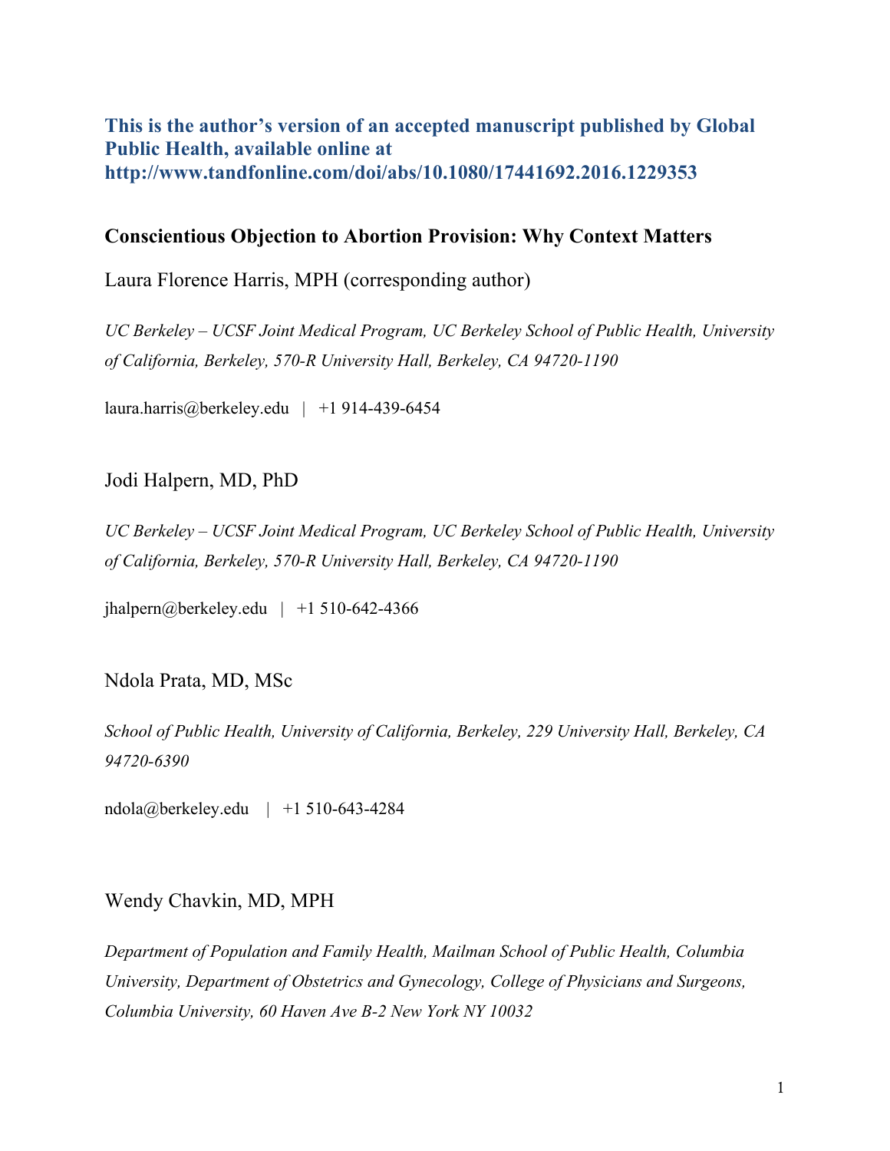# **This is the author's version of an accepted manuscript published by Global Public Health, available online at http://www.tandfonline.com/doi/abs/10.1080/17441692.2016.1229353**

# **Conscientious Objection to Abortion Provision: Why Context Matters**

Laura Florence Harris, MPH (corresponding author)

*UC Berkeley – UCSF Joint Medical Program, UC Berkeley School of Public Health, University of California, Berkeley, 570-R University Hall, Berkeley, CA 94720-1190*

laura.harris@berkeley.edu | +1 914-439-6454

## Jodi Halpern, MD, PhD

*UC Berkeley – UCSF Joint Medical Program, UC Berkeley School of Public Health, University of California, Berkeley, 570-R University Hall, Berkeley, CA 94720-1190*

 $ihalpern@berkeley.edu$  | +1 510-642-4366

### Ndola Prata, MD, MSc

*School of Public Health, University of California, Berkeley, 229 University Hall, Berkeley, CA 94720-6390*

ndola@berkeley.edu | +1 510-643-4284

### Wendy Chavkin, MD, MPH

*Department of Population and Family Health, Mailman School of Public Health, Columbia University, Department of Obstetrics and Gynecology, College of Physicians and Surgeons, Columbia University, 60 Haven Ave B-2 New York NY 10032*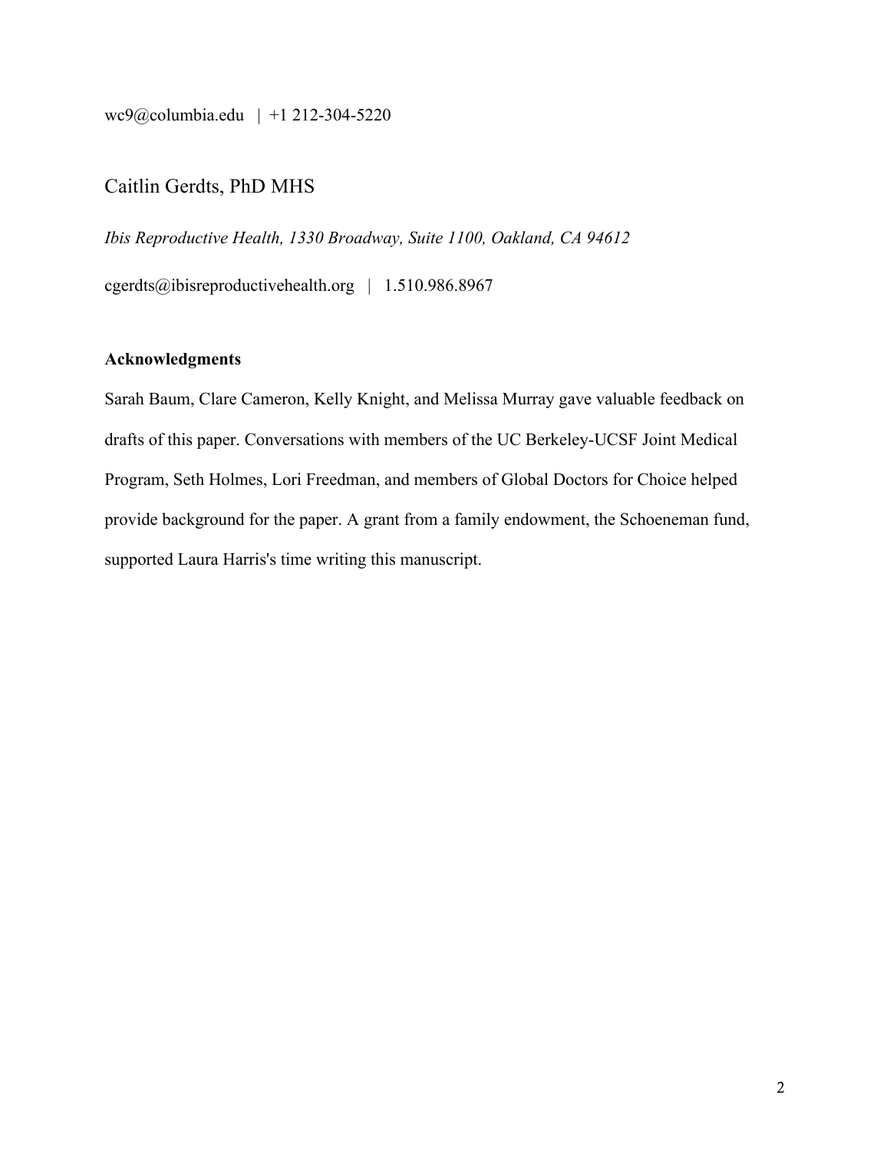wc9@columbia.edu | +1 212-304-5220

# Caitlin Gerdts, PhD MHS

*Ibis Reproductive Health, 1330 Broadway, Suite 1100, Oakland, CA 94612*

cgerdts@ibisreproductivehealth.org | 1.510.986.8967

### **Acknowledgments**

Sarah Baum, Clare Cameron, Kelly Knight, and Melissa Murray gave valuable feedback on drafts of this paper. Conversations with members of the UC Berkeley-UCSF Joint Medical Program, Seth Holmes, Lori Freedman, and members of Global Doctors for Choice helped provide background for the paper. A grant from a family endowment, the Schoeneman fund, supported Laura Harris's time writing this manuscript.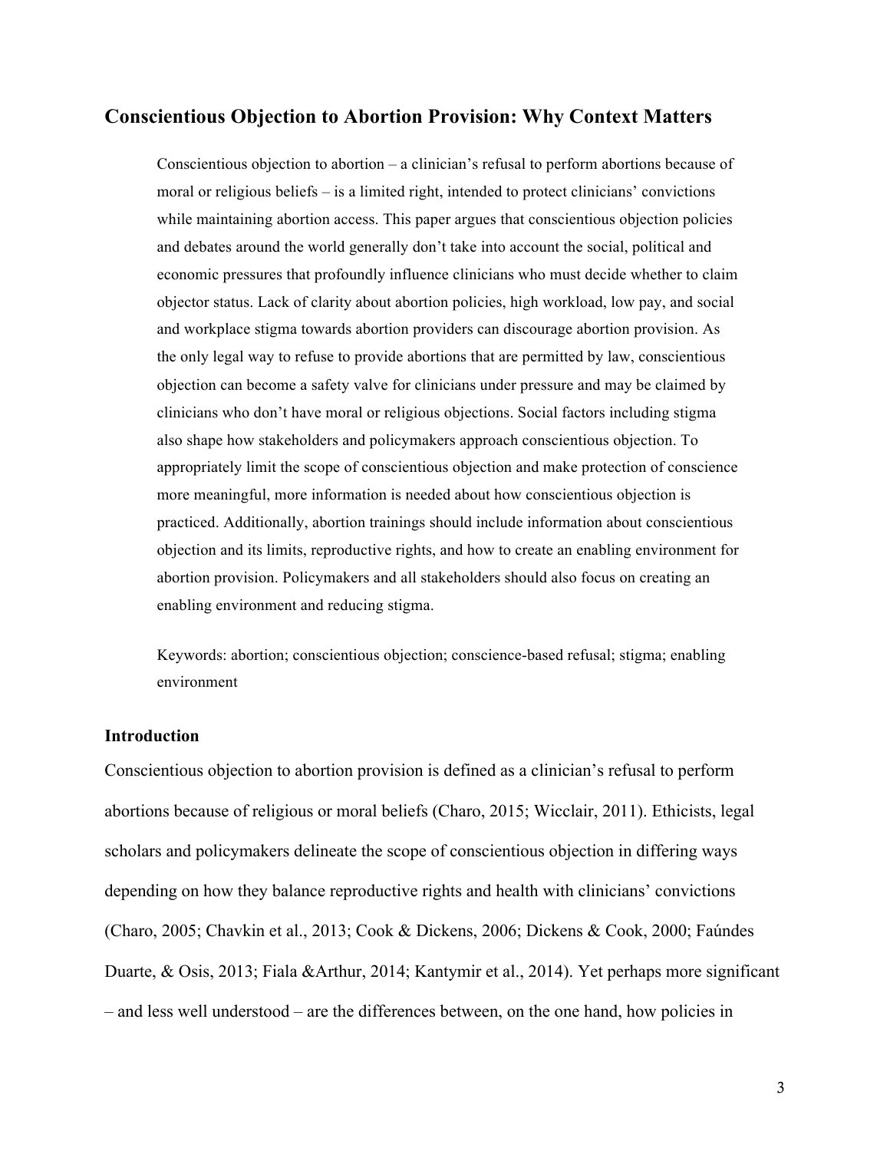#### **Conscientious Objection to Abortion Provision: Why Context Matters**

Conscientious objection to abortion – a clinician's refusal to perform abortions because of moral or religious beliefs – is a limited right, intended to protect clinicians' convictions while maintaining abortion access. This paper argues that conscientious objection policies and debates around the world generally don't take into account the social, political and economic pressures that profoundly influence clinicians who must decide whether to claim objector status. Lack of clarity about abortion policies, high workload, low pay, and social and workplace stigma towards abortion providers can discourage abortion provision. As the only legal way to refuse to provide abortions that are permitted by law, conscientious objection can become a safety valve for clinicians under pressure and may be claimed by clinicians who don't have moral or religious objections. Social factors including stigma also shape how stakeholders and policymakers approach conscientious objection. To appropriately limit the scope of conscientious objection and make protection of conscience more meaningful, more information is needed about how conscientious objection is practiced. Additionally, abortion trainings should include information about conscientious objection and its limits, reproductive rights, and how to create an enabling environment for abortion provision. Policymakers and all stakeholders should also focus on creating an enabling environment and reducing stigma.

Keywords: abortion; conscientious objection; conscience-based refusal; stigma; enabling environment

#### **Introduction**

Conscientious objection to abortion provision is defined as a clinician's refusal to perform abortions because of religious or moral beliefs (Charo, 2015; Wicclair, 2011). Ethicists, legal scholars and policymakers delineate the scope of conscientious objection in differing ways depending on how they balance reproductive rights and health with clinicians' convictions (Charo, 2005; Chavkin et al., 2013; Cook & Dickens, 2006; Dickens & Cook, 2000; Faúndes Duarte, & Osis, 2013; Fiala &Arthur, 2014; Kantymir et al., 2014). Yet perhaps more significant – and less well understood – are the differences between, on the one hand, how policies in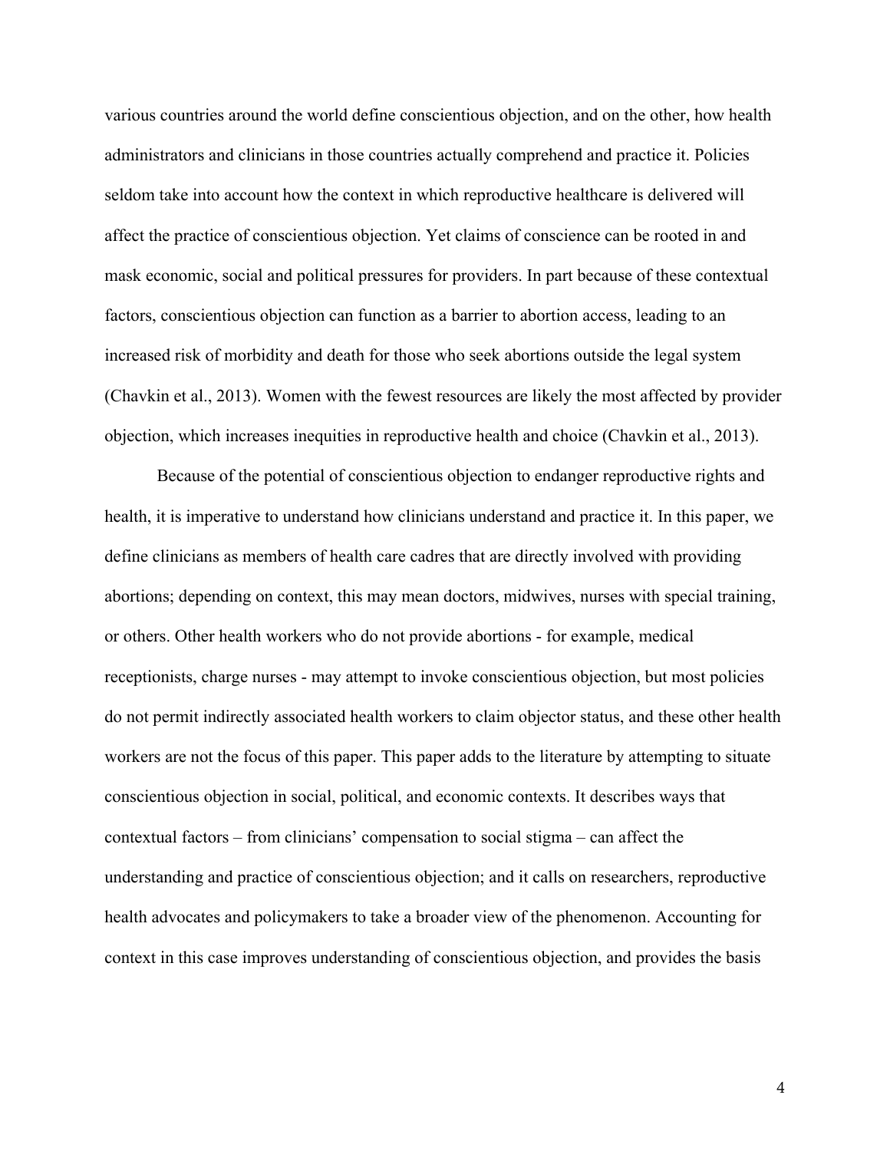various countries around the world define conscientious objection, and on the other, how health administrators and clinicians in those countries actually comprehend and practice it. Policies seldom take into account how the context in which reproductive healthcare is delivered will affect the practice of conscientious objection. Yet claims of conscience can be rooted in and mask economic, social and political pressures for providers. In part because of these contextual factors, conscientious objection can function as a barrier to abortion access, leading to an increased risk of morbidity and death for those who seek abortions outside the legal system (Chavkin et al., 2013). Women with the fewest resources are likely the most affected by provider objection, which increases inequities in reproductive health and choice (Chavkin et al., 2013).

Because of the potential of conscientious objection to endanger reproductive rights and health, it is imperative to understand how clinicians understand and practice it. In this paper, we define clinicians as members of health care cadres that are directly involved with providing abortions; depending on context, this may mean doctors, midwives, nurses with special training, or others. Other health workers who do not provide abortions - for example, medical receptionists, charge nurses - may attempt to invoke conscientious objection, but most policies do not permit indirectly associated health workers to claim objector status, and these other health workers are not the focus of this paper. This paper adds to the literature by attempting to situate conscientious objection in social, political, and economic contexts. It describes ways that contextual factors – from clinicians' compensation to social stigma – can affect the understanding and practice of conscientious objection; and it calls on researchers, reproductive health advocates and policymakers to take a broader view of the phenomenon. Accounting for context in this case improves understanding of conscientious objection, and provides the basis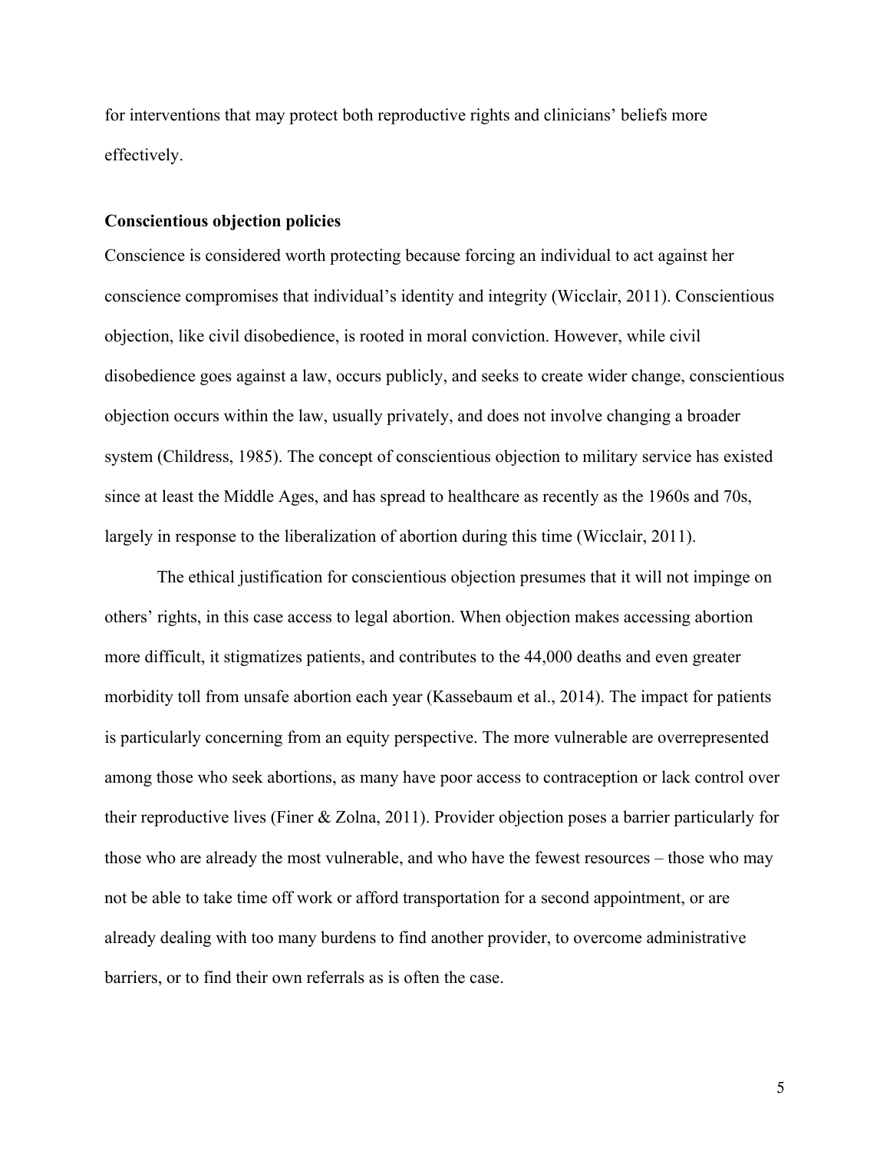for interventions that may protect both reproductive rights and clinicians' beliefs more effectively.

#### **Conscientious objection policies**

Conscience is considered worth protecting because forcing an individual to act against her conscience compromises that individual's identity and integrity (Wicclair, 2011). Conscientious objection, like civil disobedience, is rooted in moral conviction. However, while civil disobedience goes against a law, occurs publicly, and seeks to create wider change, conscientious objection occurs within the law, usually privately, and does not involve changing a broader system (Childress, 1985). The concept of conscientious objection to military service has existed since at least the Middle Ages, and has spread to healthcare as recently as the 1960s and 70s, largely in response to the liberalization of abortion during this time (Wicclair, 2011).

The ethical justification for conscientious objection presumes that it will not impinge on others' rights, in this case access to legal abortion. When objection makes accessing abortion more difficult, it stigmatizes patients, and contributes to the 44,000 deaths and even greater morbidity toll from unsafe abortion each year (Kassebaum et al., 2014). The impact for patients is particularly concerning from an equity perspective. The more vulnerable are overrepresented among those who seek abortions, as many have poor access to contraception or lack control over their reproductive lives (Finer & Zolna, 2011). Provider objection poses a barrier particularly for those who are already the most vulnerable, and who have the fewest resources – those who may not be able to take time off work or afford transportation for a second appointment, or are already dealing with too many burdens to find another provider, to overcome administrative barriers, or to find their own referrals as is often the case.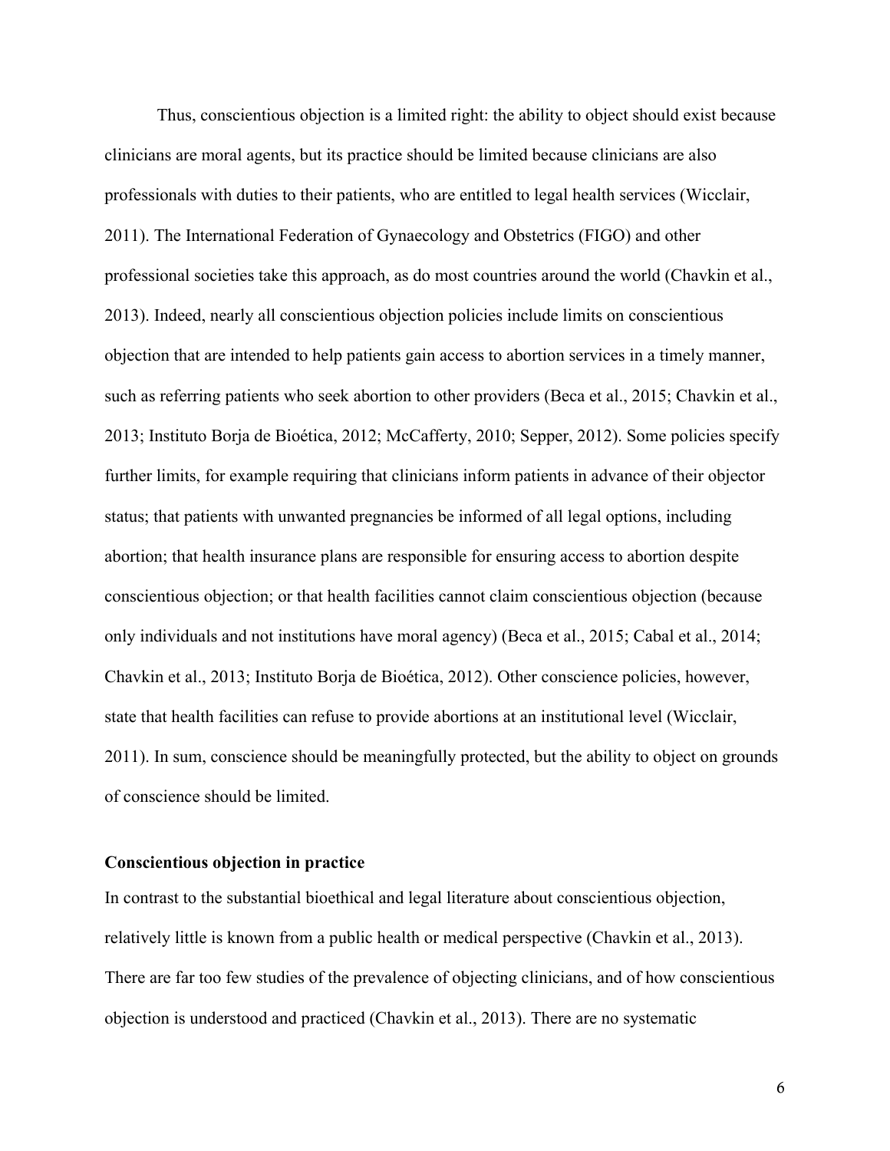Thus, conscientious objection is a limited right: the ability to object should exist because clinicians are moral agents, but its practice should be limited because clinicians are also professionals with duties to their patients, who are entitled to legal health services (Wicclair, 2011). The International Federation of Gynaecology and Obstetrics (FIGO) and other professional societies take this approach, as do most countries around the world (Chavkin et al., 2013). Indeed, nearly all conscientious objection policies include limits on conscientious objection that are intended to help patients gain access to abortion services in a timely manner, such as referring patients who seek abortion to other providers (Beca et al., 2015; Chavkin et al., 2013; Instituto Borja de Bioética, 2012; McCafferty, 2010; Sepper, 2012). Some policies specify further limits, for example requiring that clinicians inform patients in advance of their objector status; that patients with unwanted pregnancies be informed of all legal options, including abortion; that health insurance plans are responsible for ensuring access to abortion despite conscientious objection; or that health facilities cannot claim conscientious objection (because only individuals and not institutions have moral agency) (Beca et al., 2015; Cabal et al., 2014; Chavkin et al., 2013; Instituto Borja de Bioética, 2012). Other conscience policies, however, state that health facilities can refuse to provide abortions at an institutional level (Wicclair, 2011). In sum, conscience should be meaningfully protected, but the ability to object on grounds of conscience should be limited.

#### **Conscientious objection in practice**

In contrast to the substantial bioethical and legal literature about conscientious objection, relatively little is known from a public health or medical perspective (Chavkin et al., 2013). There are far too few studies of the prevalence of objecting clinicians, and of how conscientious objection is understood and practiced (Chavkin et al., 2013). There are no systematic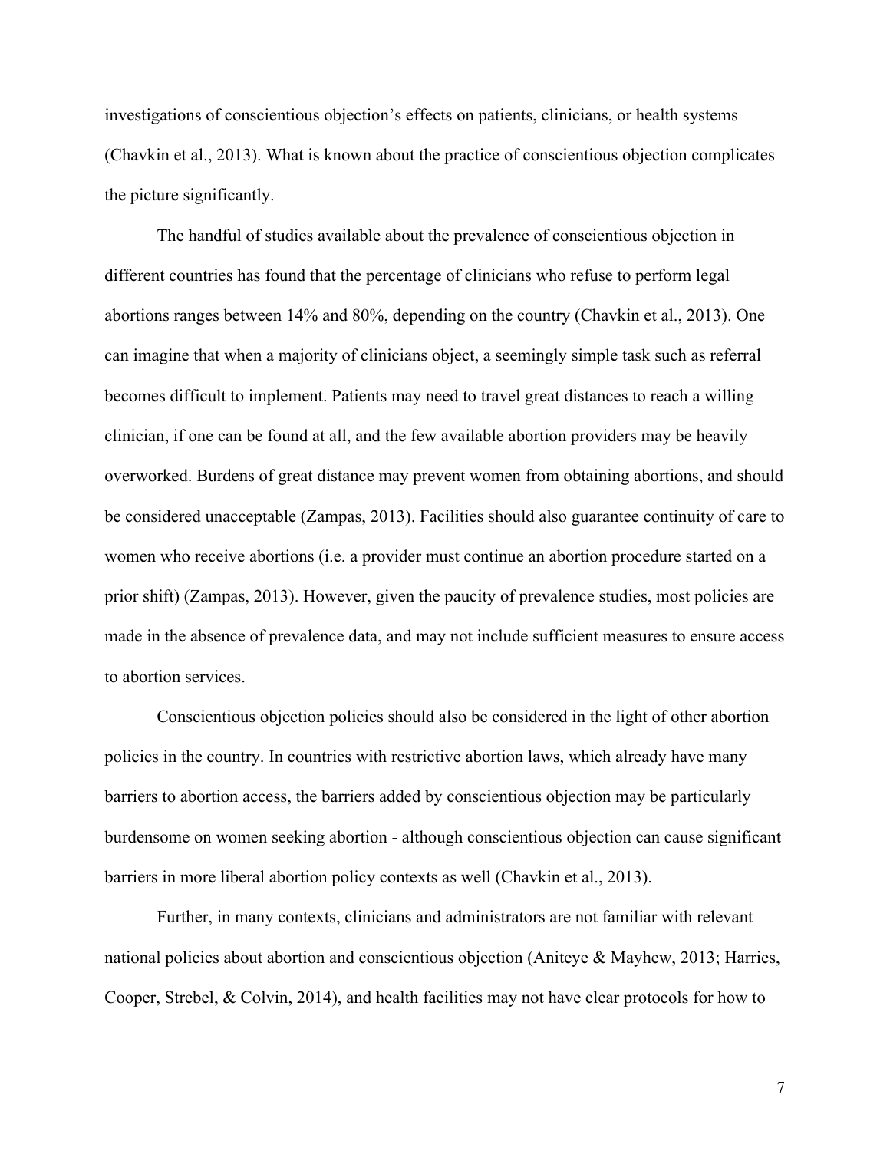investigations of conscientious objection's effects on patients, clinicians, or health systems (Chavkin et al., 2013). What is known about the practice of conscientious objection complicates the picture significantly.

The handful of studies available about the prevalence of conscientious objection in different countries has found that the percentage of clinicians who refuse to perform legal abortions ranges between 14% and 80%, depending on the country (Chavkin et al., 2013). One can imagine that when a majority of clinicians object, a seemingly simple task such as referral becomes difficult to implement. Patients may need to travel great distances to reach a willing clinician, if one can be found at all, and the few available abortion providers may be heavily overworked. Burdens of great distance may prevent women from obtaining abortions, and should be considered unacceptable (Zampas, 2013). Facilities should also guarantee continuity of care to women who receive abortions (i.e. a provider must continue an abortion procedure started on a prior shift) (Zampas, 2013). However, given the paucity of prevalence studies, most policies are made in the absence of prevalence data, and may not include sufficient measures to ensure access to abortion services.

Conscientious objection policies should also be considered in the light of other abortion policies in the country. In countries with restrictive abortion laws, which already have many barriers to abortion access, the barriers added by conscientious objection may be particularly burdensome on women seeking abortion - although conscientious objection can cause significant barriers in more liberal abortion policy contexts as well (Chavkin et al., 2013).

Further, in many contexts, clinicians and administrators are not familiar with relevant national policies about abortion and conscientious objection (Aniteye & Mayhew, 2013; Harries, Cooper, Strebel, & Colvin, 2014), and health facilities may not have clear protocols for how to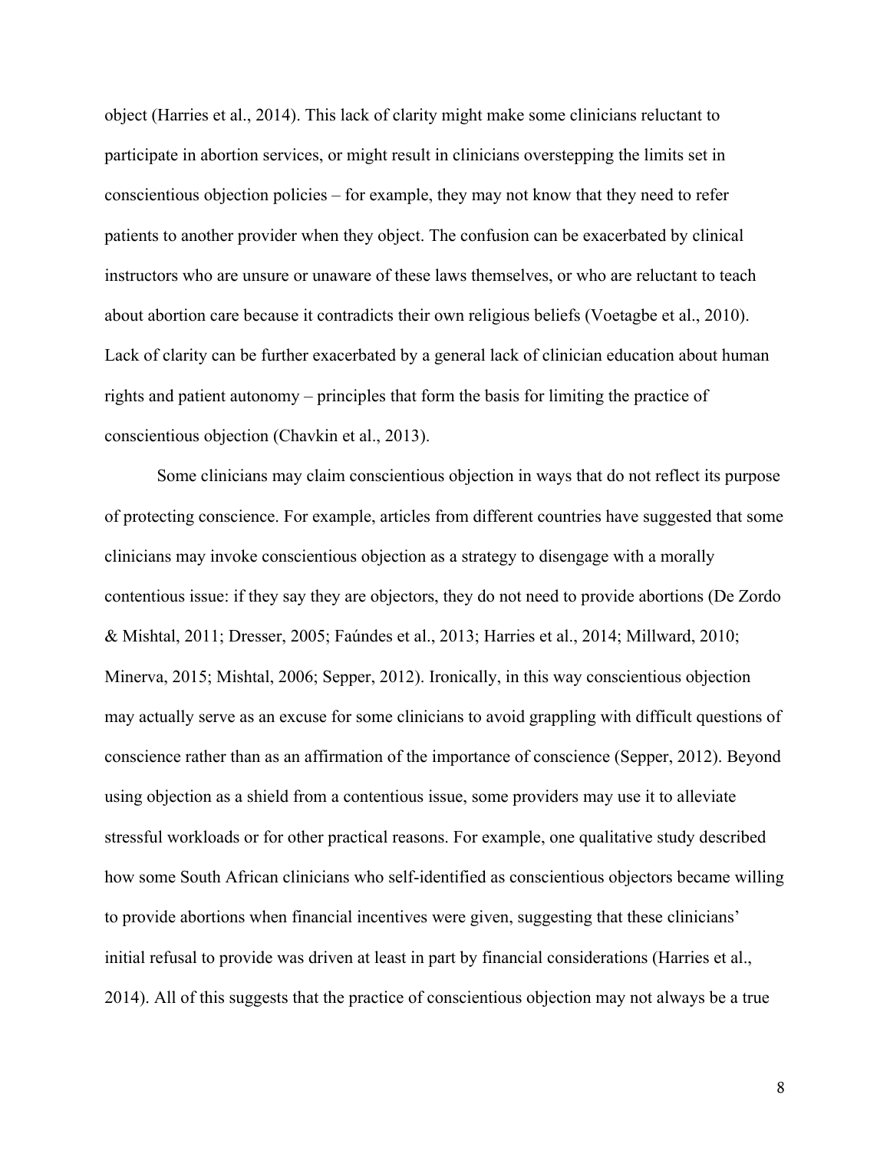object (Harries et al., 2014). This lack of clarity might make some clinicians reluctant to participate in abortion services, or might result in clinicians overstepping the limits set in conscientious objection policies – for example, they may not know that they need to refer patients to another provider when they object. The confusion can be exacerbated by clinical instructors who are unsure or unaware of these laws themselves, or who are reluctant to teach about abortion care because it contradicts their own religious beliefs (Voetagbe et al., 2010). Lack of clarity can be further exacerbated by a general lack of clinician education about human rights and patient autonomy – principles that form the basis for limiting the practice of conscientious objection (Chavkin et al., 2013).

Some clinicians may claim conscientious objection in ways that do not reflect its purpose of protecting conscience. For example, articles from different countries have suggested that some clinicians may invoke conscientious objection as a strategy to disengage with a morally contentious issue: if they say they are objectors, they do not need to provide abortions (De Zordo & Mishtal, 2011; Dresser, 2005; Faúndes et al., 2013; Harries et al., 2014; Millward, 2010; Minerva, 2015; Mishtal, 2006; Sepper, 2012). Ironically, in this way conscientious objection may actually serve as an excuse for some clinicians to avoid grappling with difficult questions of conscience rather than as an affirmation of the importance of conscience (Sepper, 2012). Beyond using objection as a shield from a contentious issue, some providers may use it to alleviate stressful workloads or for other practical reasons. For example, one qualitative study described how some South African clinicians who self-identified as conscientious objectors became willing to provide abortions when financial incentives were given, suggesting that these clinicians' initial refusal to provide was driven at least in part by financial considerations (Harries et al., 2014). All of this suggests that the practice of conscientious objection may not always be a true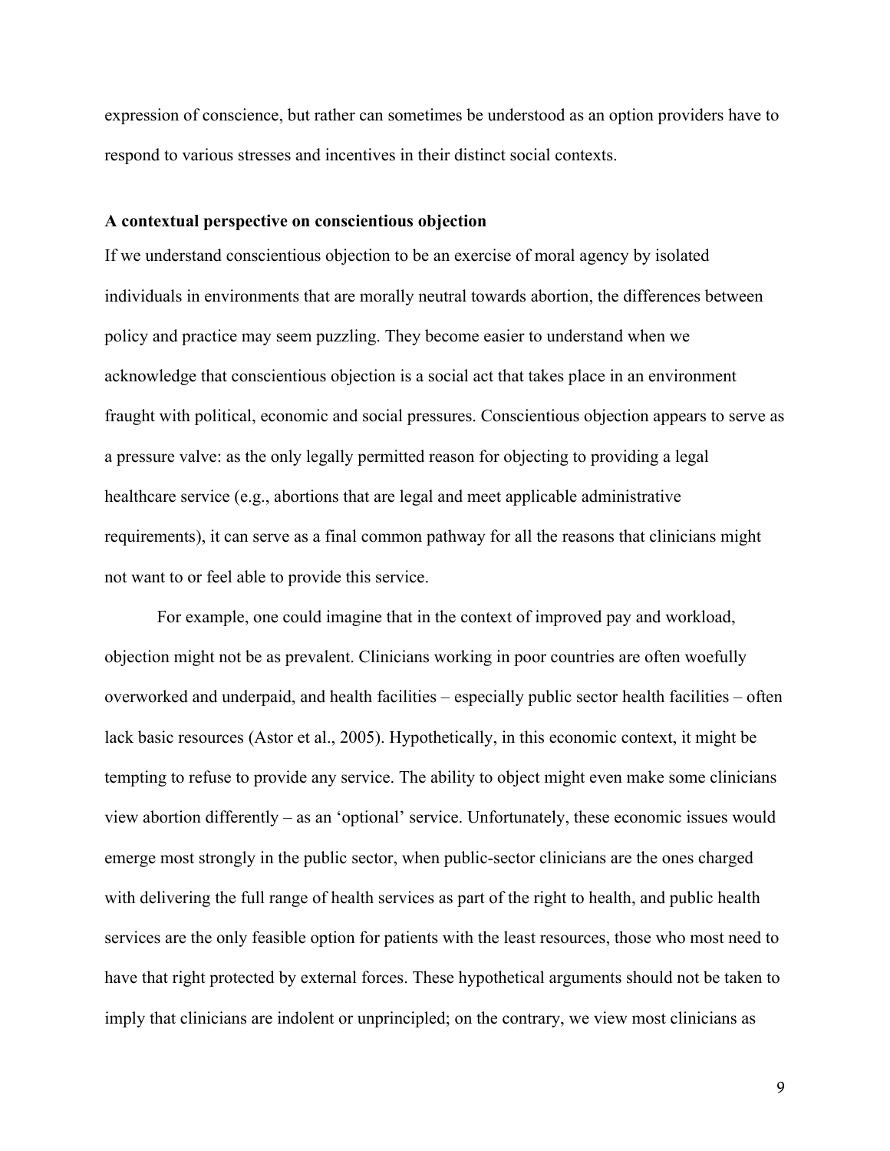expression of conscience, but rather can sometimes be understood as an option providers have to respond to various stresses and incentives in their distinct social contexts.

#### **A contextual perspective on conscientious objection**

If we understand conscientious objection to be an exercise of moral agency by isolated individuals in environments that are morally neutral towards abortion, the differences between policy and practice may seem puzzling. They become easier to understand when we acknowledge that conscientious objection is a social act that takes place in an environment fraught with political, economic and social pressures. Conscientious objection appears to serve as a pressure valve: as the only legally permitted reason for objecting to providing a legal healthcare service (e.g., abortions that are legal and meet applicable administrative requirements), it can serve as a final common pathway for all the reasons that clinicians might not want to or feel able to provide this service.

For example, one could imagine that in the context of improved pay and workload, objection might not be as prevalent. Clinicians working in poor countries are often woefully overworked and underpaid, and health facilities – especially public sector health facilities – often lack basic resources (Astor et al., 2005). Hypothetically, in this economic context, it might be tempting to refuse to provide any service. The ability to object might even make some clinicians view abortion differently – as an 'optional' service. Unfortunately, these economic issues would emerge most strongly in the public sector, when public-sector clinicians are the ones charged with delivering the full range of health services as part of the right to health, and public health services are the only feasible option for patients with the least resources, those who most need to have that right protected by external forces. These hypothetical arguments should not be taken to imply that clinicians are indolent or unprincipled; on the contrary, we view most clinicians as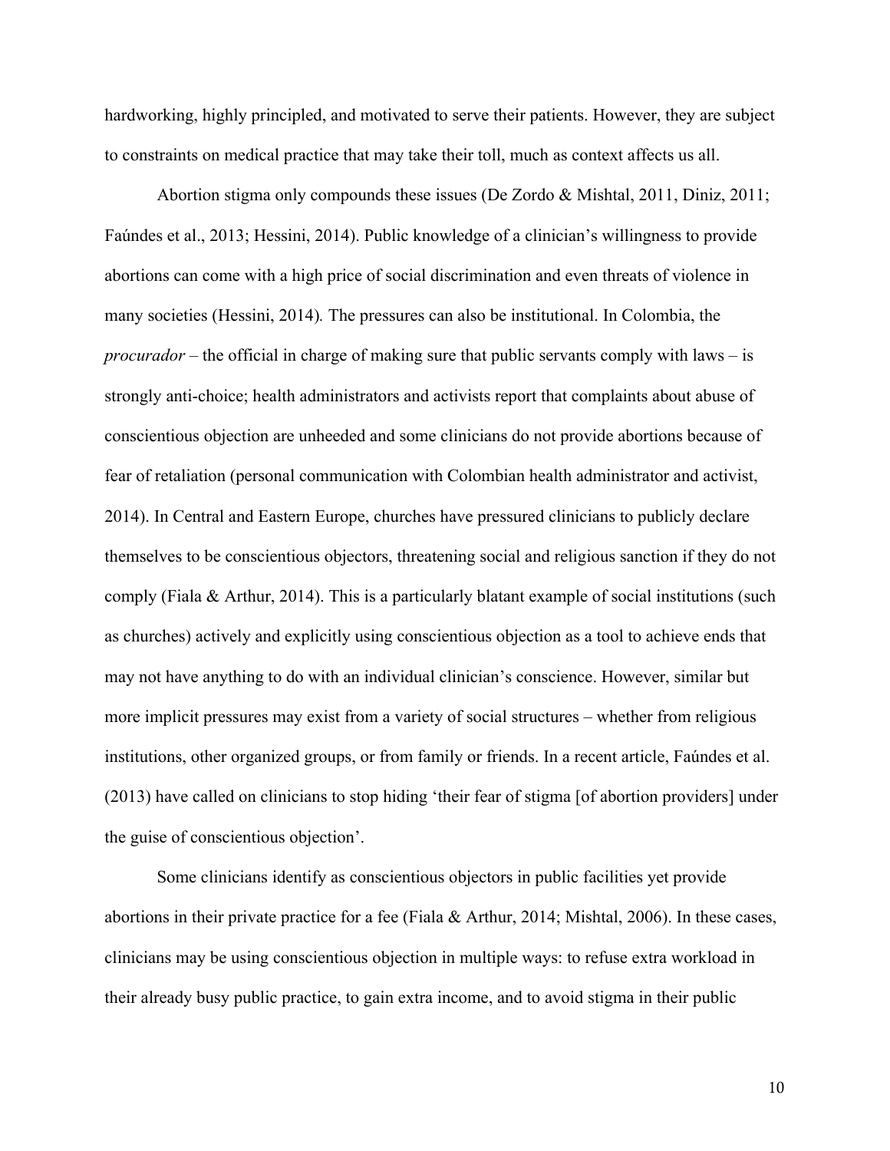hardworking, highly principled, and motivated to serve their patients. However, they are subject to constraints on medical practice that may take their toll, much as context affects us all.

Abortion stigma only compounds these issues (De Zordo & Mishtal, 2011, Diniz, 2011; Faúndes et al., 2013; Hessini, 2014). Public knowledge of a clinician's willingness to provide abortions can come with a high price of social discrimination and even threats of violence in many societies (Hessini, 2014)*.* The pressures can also be institutional. In Colombia, the *procurador* – the official in charge of making sure that public servants comply with laws – is strongly anti-choice; health administrators and activists report that complaints about abuse of conscientious objection are unheeded and some clinicians do not provide abortions because of fear of retaliation (personal communication with Colombian health administrator and activist, 2014). In Central and Eastern Europe, churches have pressured clinicians to publicly declare themselves to be conscientious objectors, threatening social and religious sanction if they do not comply (Fiala & Arthur, 2014). This is a particularly blatant example of social institutions (such as churches) actively and explicitly using conscientious objection as a tool to achieve ends that may not have anything to do with an individual clinician's conscience. However, similar but more implicit pressures may exist from a variety of social structures – whether from religious institutions, other organized groups, or from family or friends. In a recent article, Faúndes et al. (2013) have called on clinicians to stop hiding 'their fear of stigma [of abortion providers] under the guise of conscientious objection'.

Some clinicians identify as conscientious objectors in public facilities yet provide abortions in their private practice for a fee (Fiala & Arthur, 2014; Mishtal, 2006). In these cases, clinicians may be using conscientious objection in multiple ways: to refuse extra workload in their already busy public practice, to gain extra income, and to avoid stigma in their public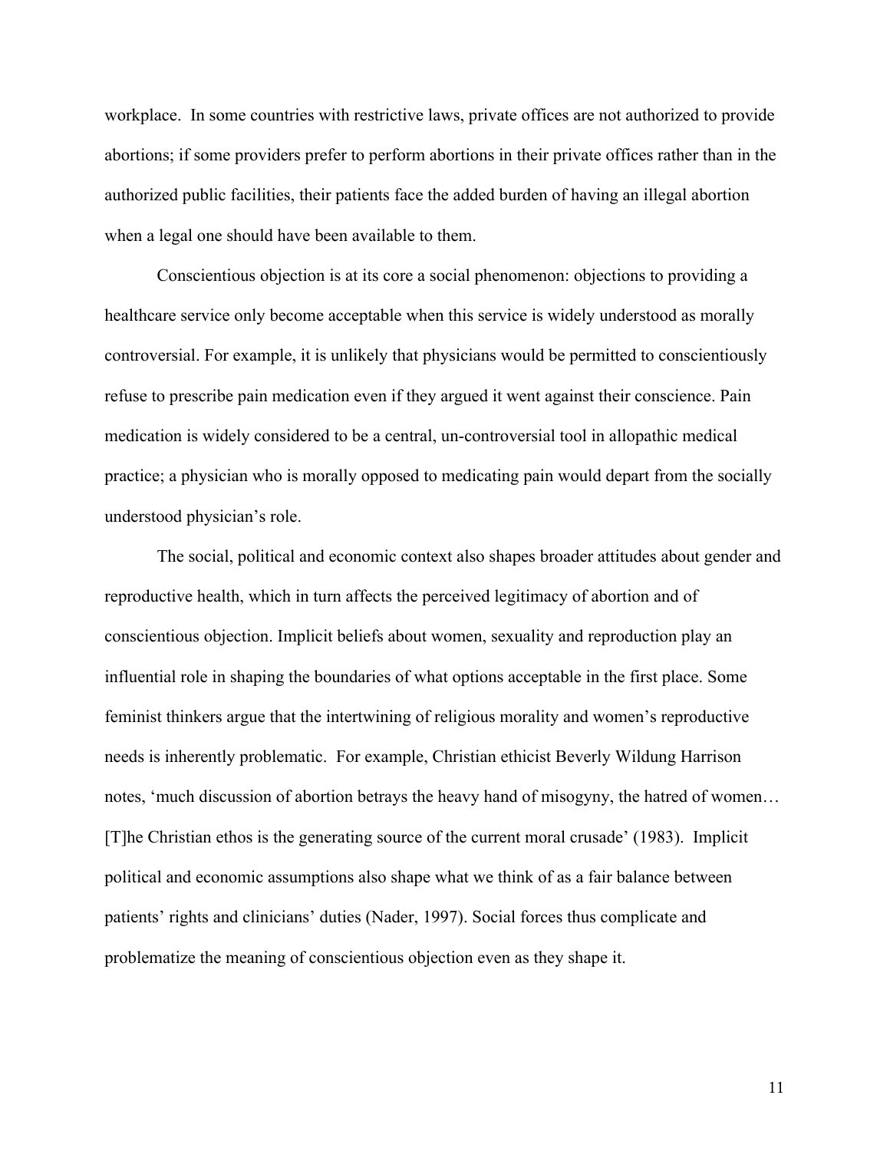workplace. In some countries with restrictive laws, private offices are not authorized to provide abortions; if some providers prefer to perform abortions in their private offices rather than in the authorized public facilities, their patients face the added burden of having an illegal abortion when a legal one should have been available to them.

Conscientious objection is at its core a social phenomenon: objections to providing a healthcare service only become acceptable when this service is widely understood as morally controversial. For example, it is unlikely that physicians would be permitted to conscientiously refuse to prescribe pain medication even if they argued it went against their conscience. Pain medication is widely considered to be a central, un-controversial tool in allopathic medical practice; a physician who is morally opposed to medicating pain would depart from the socially understood physician's role.

The social, political and economic context also shapes broader attitudes about gender and reproductive health, which in turn affects the perceived legitimacy of abortion and of conscientious objection. Implicit beliefs about women, sexuality and reproduction play an influential role in shaping the boundaries of what options acceptable in the first place. Some feminist thinkers argue that the intertwining of religious morality and women's reproductive needs is inherently problematic. For example, Christian ethicist Beverly Wildung Harrison notes, 'much discussion of abortion betrays the heavy hand of misogyny, the hatred of women… [T]he Christian ethos is the generating source of the current moral crusade' (1983). Implicit political and economic assumptions also shape what we think of as a fair balance between patients' rights and clinicians' duties (Nader, 1997). Social forces thus complicate and problematize the meaning of conscientious objection even as they shape it.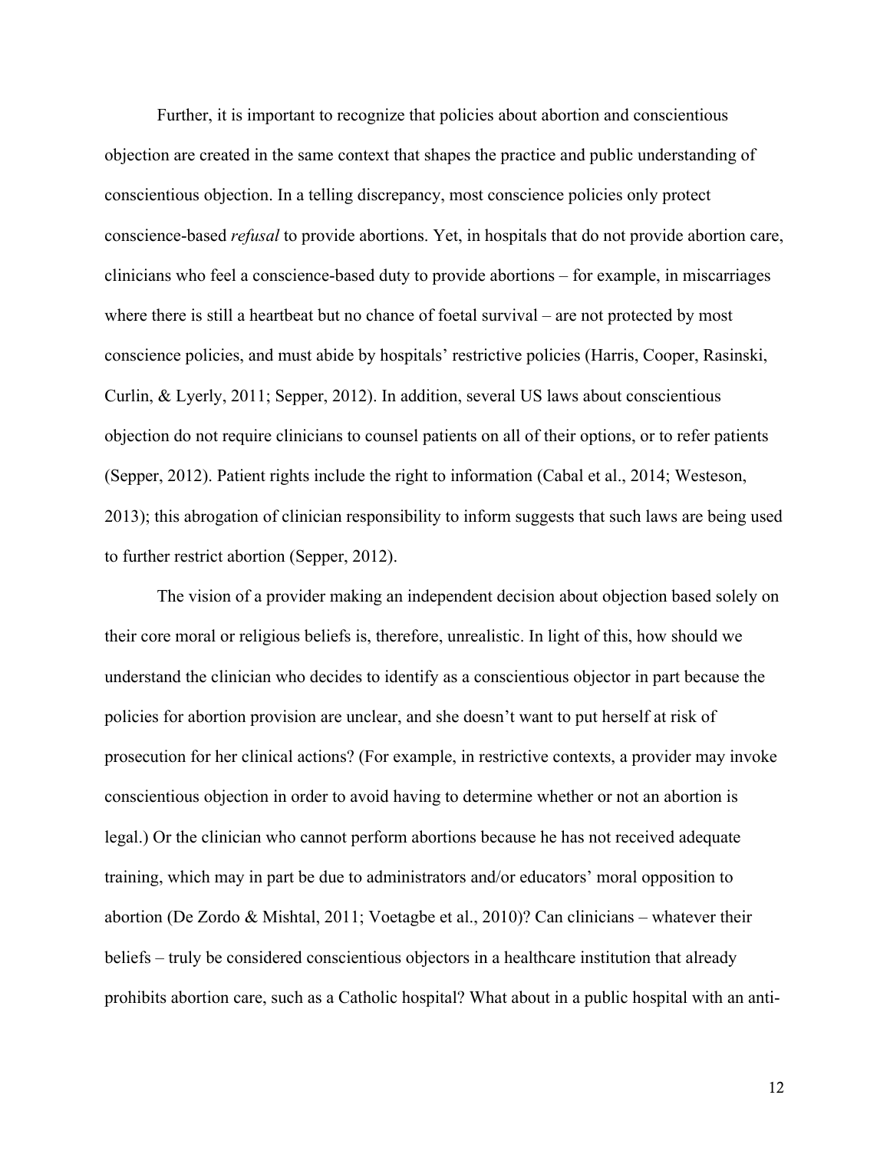Further, it is important to recognize that policies about abortion and conscientious objection are created in the same context that shapes the practice and public understanding of conscientious objection. In a telling discrepancy, most conscience policies only protect conscience-based *refusal* to provide abortions. Yet, in hospitals that do not provide abortion care, clinicians who feel a conscience-based duty to provide abortions – for example, in miscarriages where there is still a heartbeat but no chance of foetal survival – are not protected by most conscience policies, and must abide by hospitals' restrictive policies (Harris, Cooper, Rasinski, Curlin, & Lyerly, 2011; Sepper, 2012). In addition, several US laws about conscientious objection do not require clinicians to counsel patients on all of their options, or to refer patients (Sepper, 2012). Patient rights include the right to information (Cabal et al., 2014; Westeson, 2013); this abrogation of clinician responsibility to inform suggests that such laws are being used to further restrict abortion (Sepper, 2012).

The vision of a provider making an independent decision about objection based solely on their core moral or religious beliefs is, therefore, unrealistic. In light of this, how should we understand the clinician who decides to identify as a conscientious objector in part because the policies for abortion provision are unclear, and she doesn't want to put herself at risk of prosecution for her clinical actions? (For example, in restrictive contexts, a provider may invoke conscientious objection in order to avoid having to determine whether or not an abortion is legal.) Or the clinician who cannot perform abortions because he has not received adequate training, which may in part be due to administrators and/or educators' moral opposition to abortion (De Zordo & Mishtal, 2011; Voetagbe et al., 2010)? Can clinicians – whatever their beliefs – truly be considered conscientious objectors in a healthcare institution that already prohibits abortion care, such as a Catholic hospital? What about in a public hospital with an anti-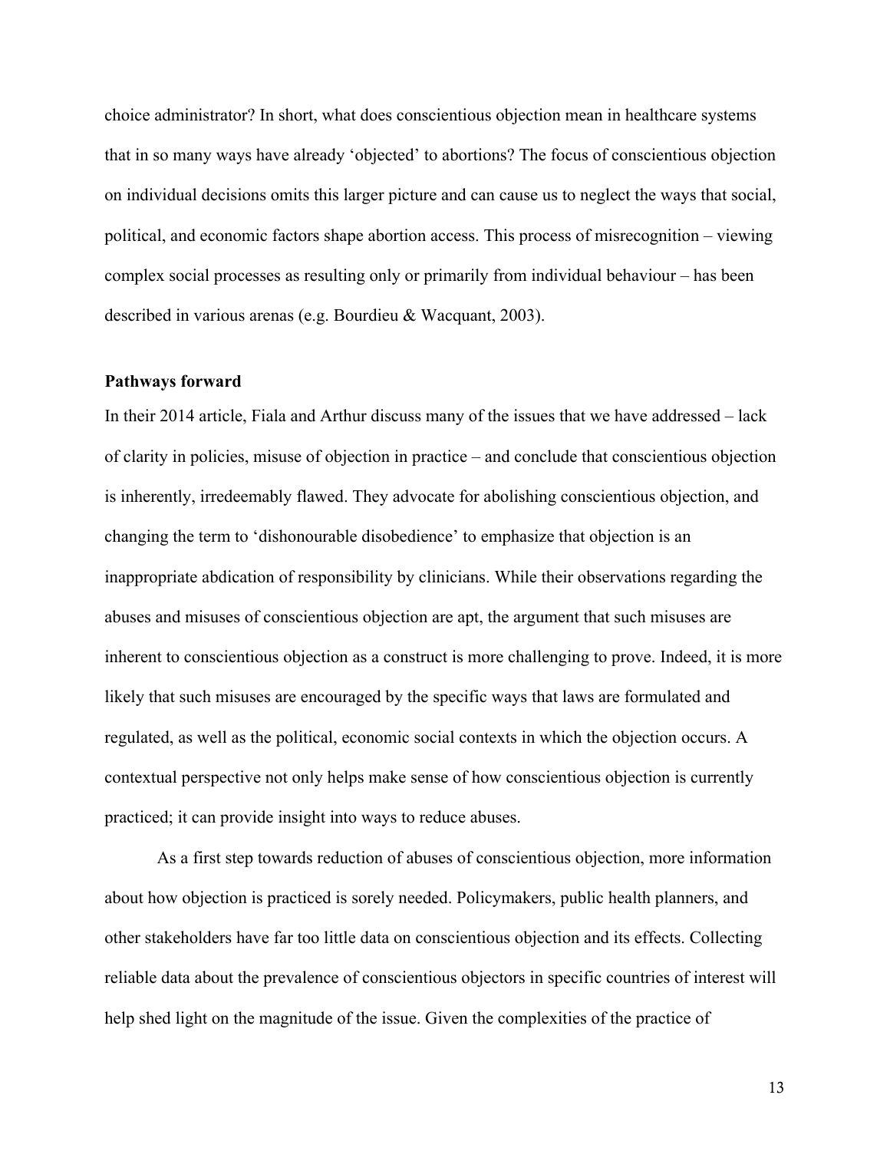choice administrator? In short, what does conscientious objection mean in healthcare systems that in so many ways have already 'objected' to abortions? The focus of conscientious objection on individual decisions omits this larger picture and can cause us to neglect the ways that social, political, and economic factors shape abortion access. This process of misrecognition – viewing complex social processes as resulting only or primarily from individual behaviour – has been described in various arenas (e.g. Bourdieu & Wacquant, 2003).

#### **Pathways forward**

In their 2014 article, Fiala and Arthur discuss many of the issues that we have addressed – lack of clarity in policies, misuse of objection in practice – and conclude that conscientious objection is inherently, irredeemably flawed. They advocate for abolishing conscientious objection, and changing the term to 'dishonourable disobedience' to emphasize that objection is an inappropriate abdication of responsibility by clinicians. While their observations regarding the abuses and misuses of conscientious objection are apt, the argument that such misuses are inherent to conscientious objection as a construct is more challenging to prove. Indeed, it is more likely that such misuses are encouraged by the specific ways that laws are formulated and regulated, as well as the political, economic social contexts in which the objection occurs. A contextual perspective not only helps make sense of how conscientious objection is currently practiced; it can provide insight into ways to reduce abuses.

As a first step towards reduction of abuses of conscientious objection, more information about how objection is practiced is sorely needed. Policymakers, public health planners, and other stakeholders have far too little data on conscientious objection and its effects. Collecting reliable data about the prevalence of conscientious objectors in specific countries of interest will help shed light on the magnitude of the issue. Given the complexities of the practice of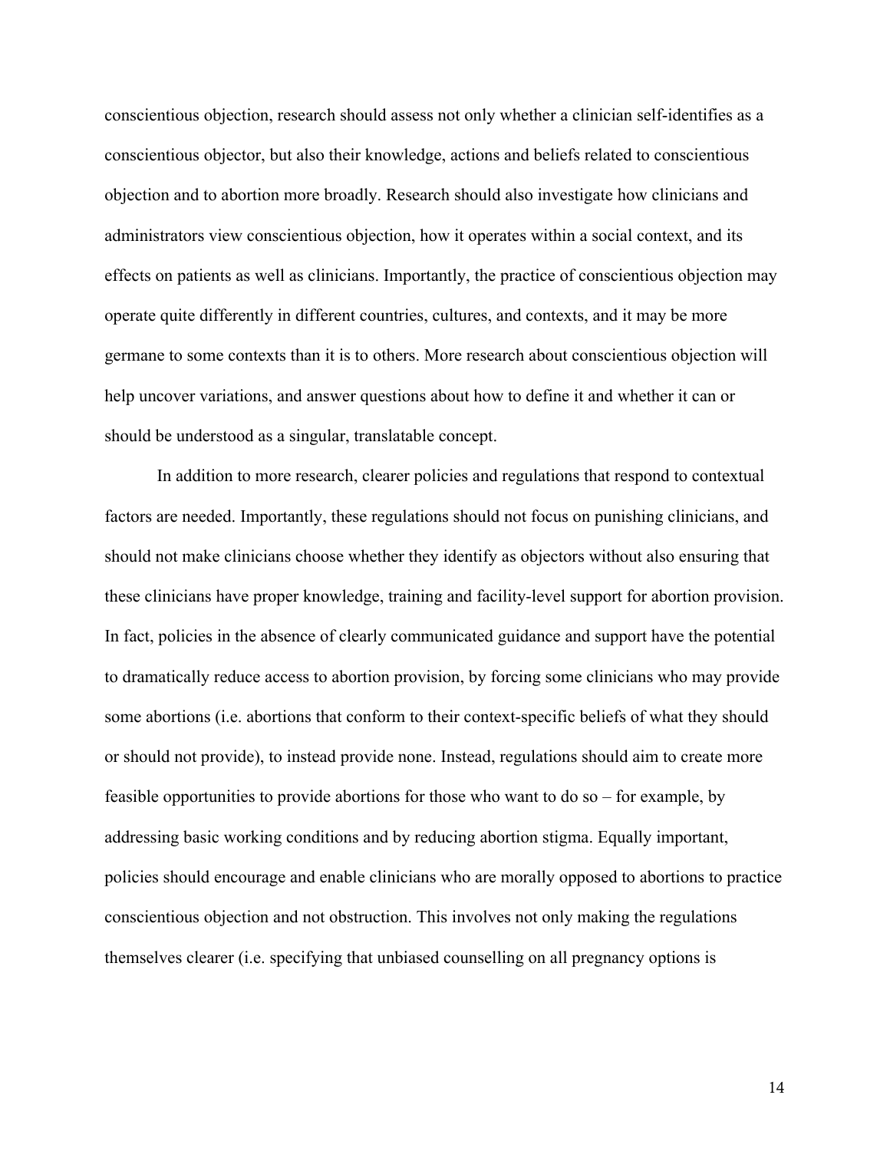conscientious objection, research should assess not only whether a clinician self-identifies as a conscientious objector, but also their knowledge, actions and beliefs related to conscientious objection and to abortion more broadly. Research should also investigate how clinicians and administrators view conscientious objection, how it operates within a social context, and its effects on patients as well as clinicians. Importantly, the practice of conscientious objection may operate quite differently in different countries, cultures, and contexts, and it may be more germane to some contexts than it is to others. More research about conscientious objection will help uncover variations, and answer questions about how to define it and whether it can or should be understood as a singular, translatable concept.

In addition to more research, clearer policies and regulations that respond to contextual factors are needed. Importantly, these regulations should not focus on punishing clinicians, and should not make clinicians choose whether they identify as objectors without also ensuring that these clinicians have proper knowledge, training and facility-level support for abortion provision. In fact, policies in the absence of clearly communicated guidance and support have the potential to dramatically reduce access to abortion provision, by forcing some clinicians who may provide some abortions (i.e. abortions that conform to their context-specific beliefs of what they should or should not provide), to instead provide none. Instead, regulations should aim to create more feasible opportunities to provide abortions for those who want to do so – for example, by addressing basic working conditions and by reducing abortion stigma. Equally important, policies should encourage and enable clinicians who are morally opposed to abortions to practice conscientious objection and not obstruction. This involves not only making the regulations themselves clearer (i.e. specifying that unbiased counselling on all pregnancy options is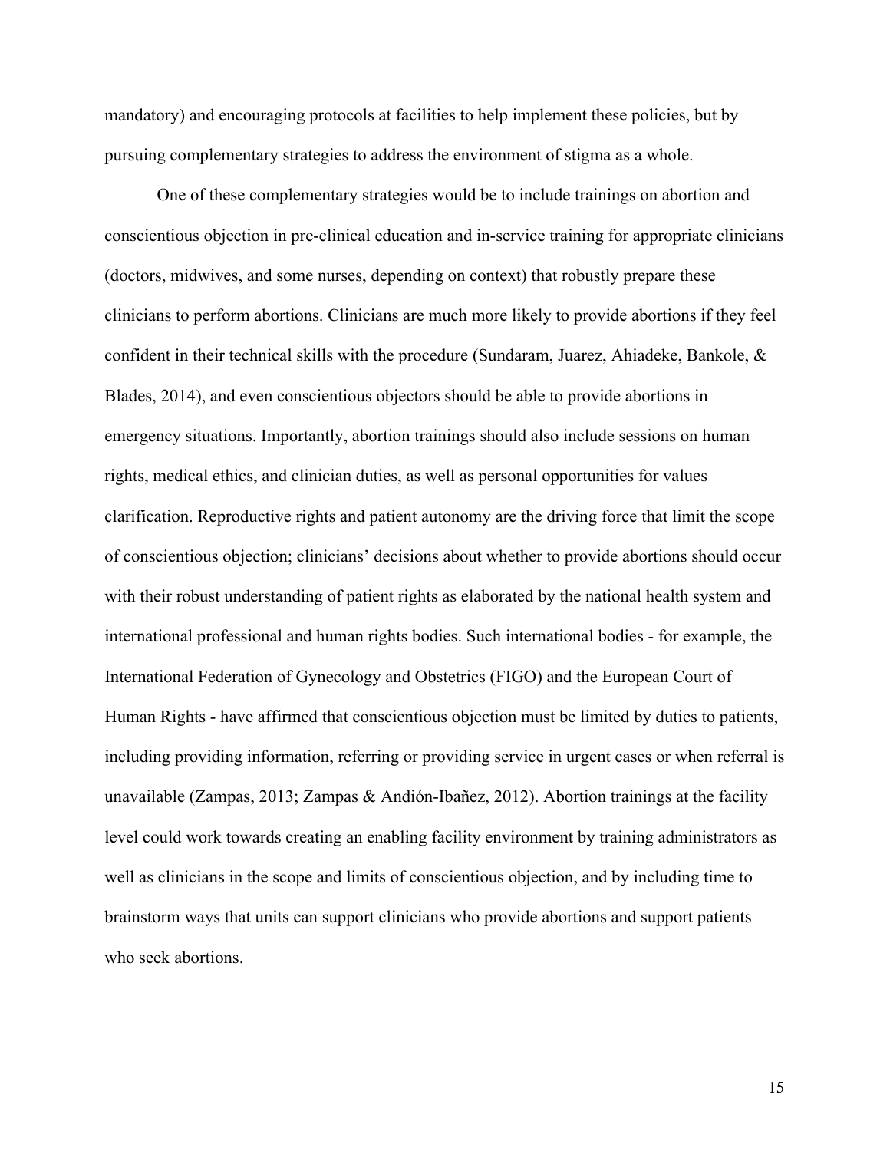mandatory) and encouraging protocols at facilities to help implement these policies, but by pursuing complementary strategies to address the environment of stigma as a whole.

One of these complementary strategies would be to include trainings on abortion and conscientious objection in pre-clinical education and in-service training for appropriate clinicians (doctors, midwives, and some nurses, depending on context) that robustly prepare these clinicians to perform abortions. Clinicians are much more likely to provide abortions if they feel confident in their technical skills with the procedure (Sundaram, Juarez, Ahiadeke, Bankole, & Blades, 2014), and even conscientious objectors should be able to provide abortions in emergency situations. Importantly, abortion trainings should also include sessions on human rights, medical ethics, and clinician duties, as well as personal opportunities for values clarification. Reproductive rights and patient autonomy are the driving force that limit the scope of conscientious objection; clinicians' decisions about whether to provide abortions should occur with their robust understanding of patient rights as elaborated by the national health system and international professional and human rights bodies. Such international bodies - for example, the International Federation of Gynecology and Obstetrics (FIGO) and the European Court of Human Rights - have affirmed that conscientious objection must be limited by duties to patients, including providing information, referring or providing service in urgent cases or when referral is unavailable (Zampas, 2013; Zampas & Andión-Ibañez, 2012). Abortion trainings at the facility level could work towards creating an enabling facility environment by training administrators as well as clinicians in the scope and limits of conscientious objection, and by including time to brainstorm ways that units can support clinicians who provide abortions and support patients who seek abortions.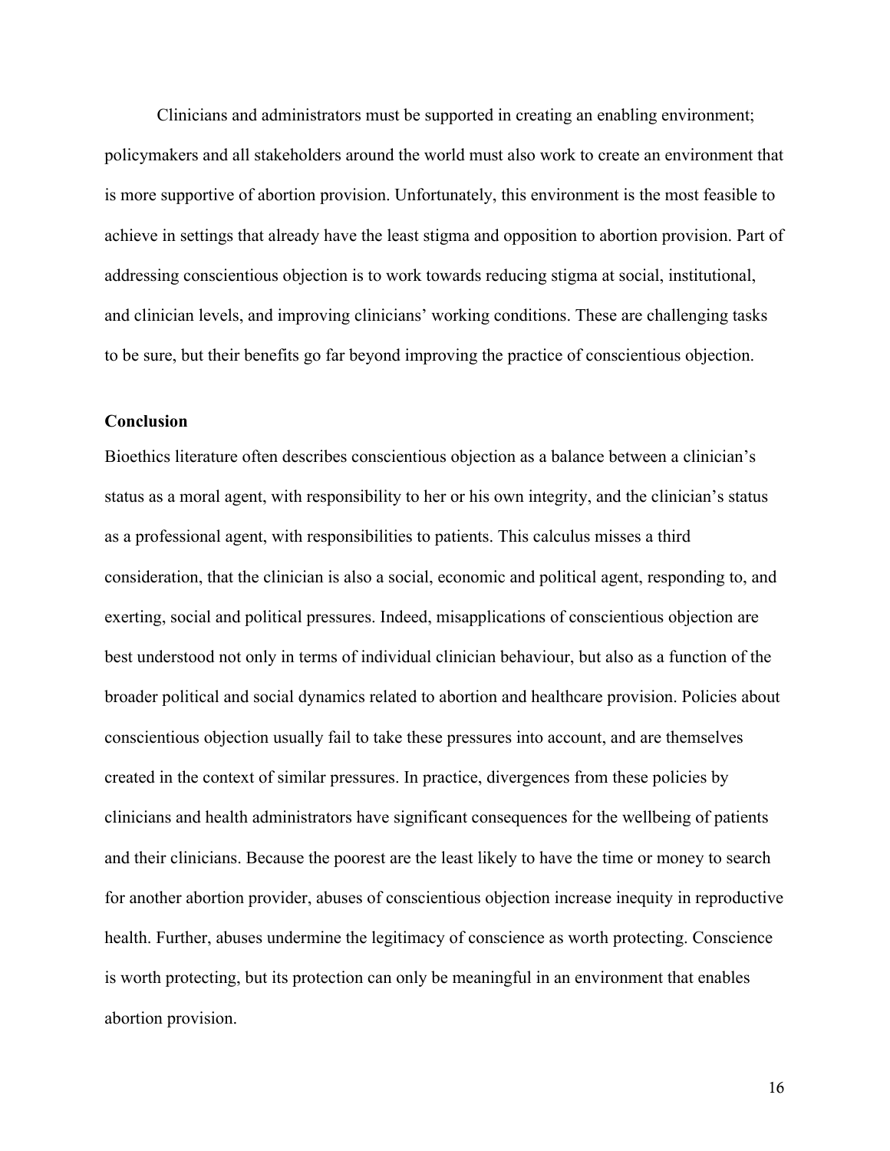Clinicians and administrators must be supported in creating an enabling environment; policymakers and all stakeholders around the world must also work to create an environment that is more supportive of abortion provision. Unfortunately, this environment is the most feasible to achieve in settings that already have the least stigma and opposition to abortion provision. Part of addressing conscientious objection is to work towards reducing stigma at social, institutional, and clinician levels, and improving clinicians' working conditions. These are challenging tasks to be sure, but their benefits go far beyond improving the practice of conscientious objection.

#### **Conclusion**

Bioethics literature often describes conscientious objection as a balance between a clinician's status as a moral agent, with responsibility to her or his own integrity, and the clinician's status as a professional agent, with responsibilities to patients. This calculus misses a third consideration, that the clinician is also a social, economic and political agent, responding to, and exerting, social and political pressures. Indeed, misapplications of conscientious objection are best understood not only in terms of individual clinician behaviour, but also as a function of the broader political and social dynamics related to abortion and healthcare provision. Policies about conscientious objection usually fail to take these pressures into account, and are themselves created in the context of similar pressures. In practice, divergences from these policies by clinicians and health administrators have significant consequences for the wellbeing of patients and their clinicians. Because the poorest are the least likely to have the time or money to search for another abortion provider, abuses of conscientious objection increase inequity in reproductive health. Further, abuses undermine the legitimacy of conscience as worth protecting. Conscience is worth protecting, but its protection can only be meaningful in an environment that enables abortion provision.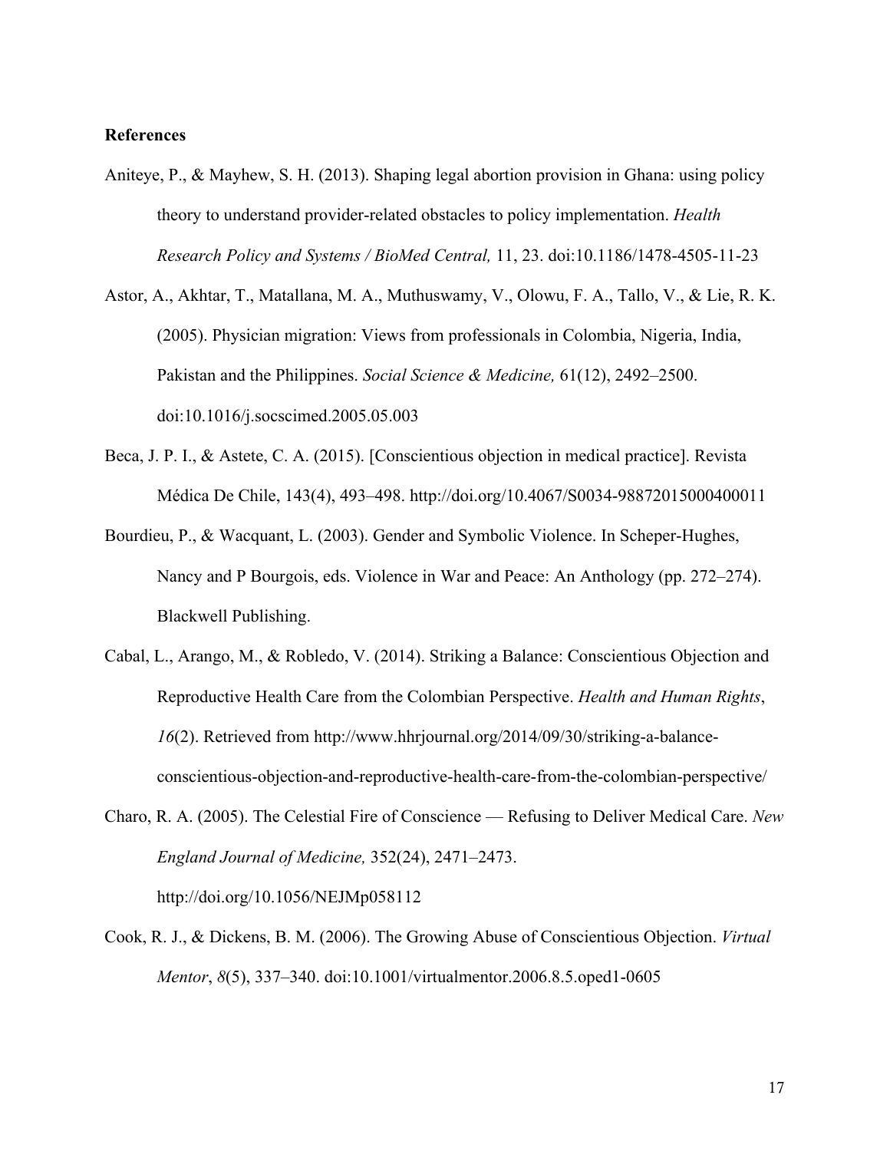#### **References**

- Aniteye, P., & Mayhew, S. H. (2013). Shaping legal abortion provision in Ghana: using policy theory to understand provider-related obstacles to policy implementation. *Health Research Policy and Systems / BioMed Central,* 11, 23. doi:10.1186/1478-4505-11-23
- Astor, A., Akhtar, T., Matallana, M. A., Muthuswamy, V., Olowu, F. A., Tallo, V., & Lie, R. K. (2005). Physician migration: Views from professionals in Colombia, Nigeria, India, Pakistan and the Philippines. *Social Science & Medicine,* 61(12), 2492–2500. doi:10.1016/j.socscimed.2005.05.003
- Beca, J. P. I., & Astete, C. A. (2015). [Conscientious objection in medical practice]. Revista Médica De Chile, 143(4), 493–498. http://doi.org/10.4067/S0034-98872015000400011
- Bourdieu, P., & Wacquant, L. (2003). Gender and Symbolic Violence. In Scheper-Hughes, Nancy and P Bourgois, eds. Violence in War and Peace: An Anthology (pp. 272–274). Blackwell Publishing.
- Cabal, L., Arango, M., & Robledo, V. (2014). Striking a Balance: Conscientious Objection and Reproductive Health Care from the Colombian Perspective. *Health and Human Rights*, *16*(2). Retrieved from http://www.hhrjournal.org/2014/09/30/striking-a-balanceconscientious-objection-and-reproductive-health-care-from-the-colombian-perspective/
- Charo, R. A. (2005). The Celestial Fire of Conscience Refusing to Deliver Medical Care. *New England Journal of Medicine,* 352(24), 2471–2473.

http://doi.org/10.1056/NEJMp058112

Cook, R. J., & Dickens, B. M. (2006). The Growing Abuse of Conscientious Objection. *Virtual Mentor*, *8*(5), 337–340. doi:10.1001/virtualmentor.2006.8.5.oped1-0605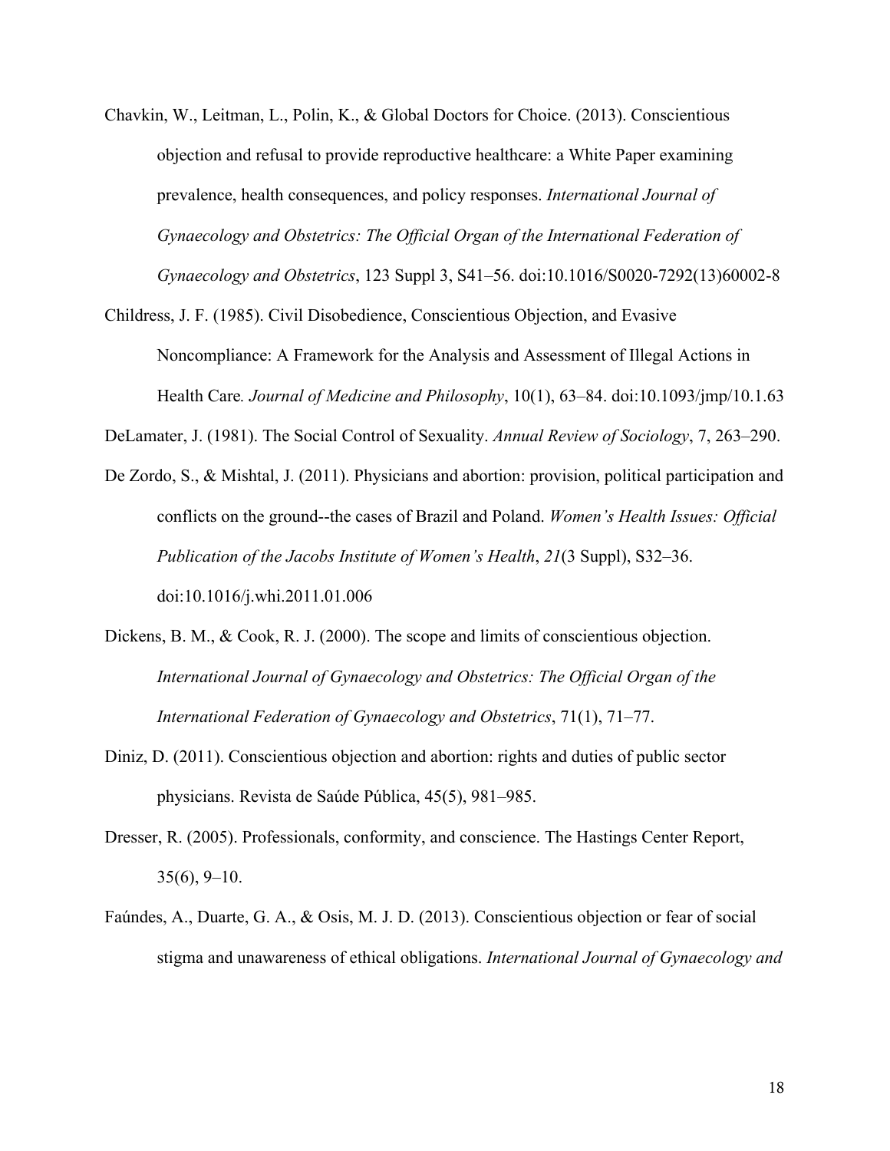- Chavkin, W., Leitman, L., Polin, K., & Global Doctors for Choice. (2013). Conscientious objection and refusal to provide reproductive healthcare: a White Paper examining prevalence, health consequences, and policy responses. *International Journal of Gynaecology and Obstetrics: The Official Organ of the International Federation of Gynaecology and Obstetrics*, 123 Suppl 3, S41–56. doi:10.1016/S0020-7292(13)60002-8
- Childress, J. F. (1985). Civil Disobedience, Conscientious Objection, and Evasive Noncompliance: A Framework for the Analysis and Assessment of Illegal Actions in Health Care*. Journal of Medicine and Philosophy*, 10(1), 63–84. doi:10.1093/jmp/10.1.63

DeLamater, J. (1981). The Social Control of Sexuality. *Annual Review of Sociology*, 7, 263–290.

- De Zordo, S., & Mishtal, J. (2011). Physicians and abortion: provision, political participation and conflicts on the ground--the cases of Brazil and Poland. *Women's Health Issues: Official Publication of the Jacobs Institute of Women's Health*, *21*(3 Suppl), S32–36. doi:10.1016/j.whi.2011.01.006
- Dickens, B. M., & Cook, R. J. (2000). The scope and limits of conscientious objection. *International Journal of Gynaecology and Obstetrics: The Official Organ of the International Federation of Gynaecology and Obstetrics*, 71(1), 71–77.
- Diniz, D. (2011). Conscientious objection and abortion: rights and duties of public sector physicians. Revista de Saúde Pública, 45(5), 981–985.
- Dresser, R. (2005). Professionals, conformity, and conscience. The Hastings Center Report,  $35(6)$ ,  $9-10$ .
- Faúndes, A., Duarte, G. A., & Osis, M. J. D. (2013). Conscientious objection or fear of social stigma and unawareness of ethical obligations. *International Journal of Gynaecology and*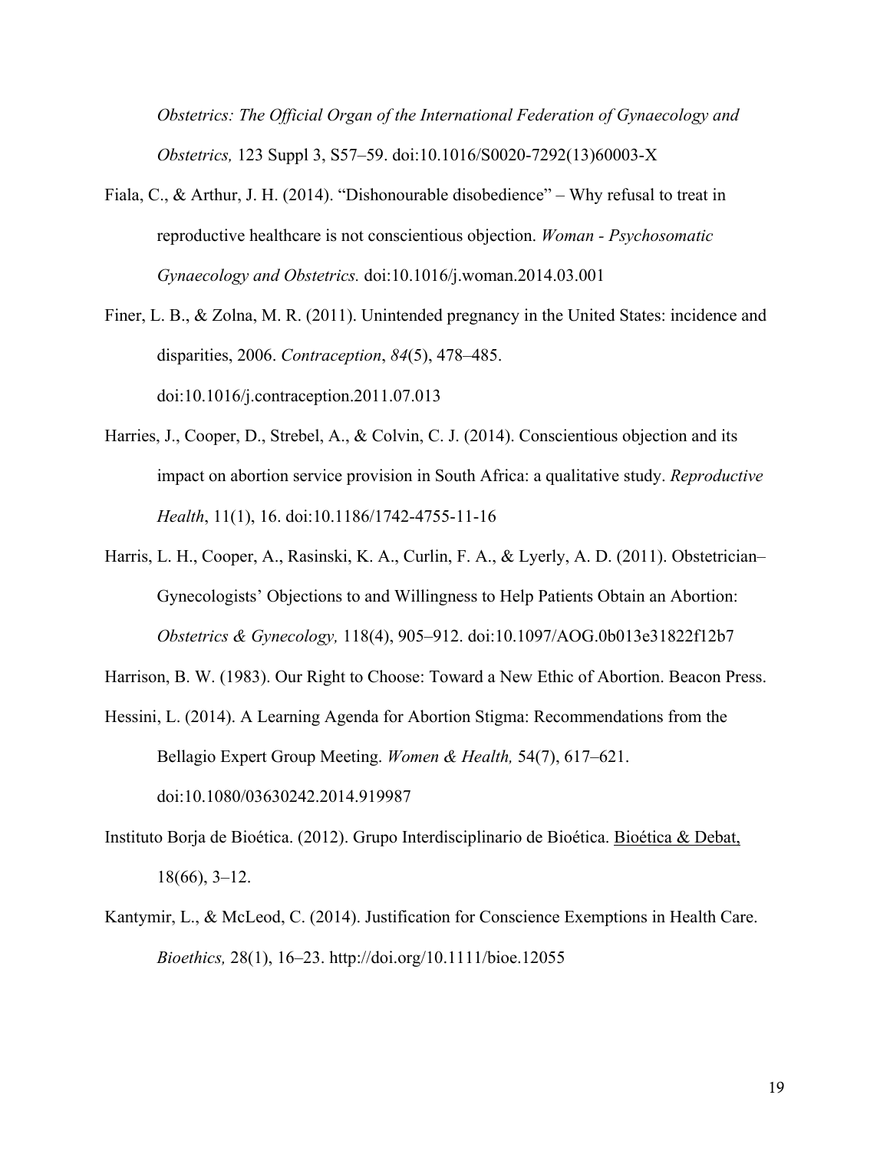*Obstetrics: The Official Organ of the International Federation of Gynaecology and Obstetrics,* 123 Suppl 3, S57–59. doi:10.1016/S0020-7292(13)60003-X

- Fiala, C., & Arthur, J. H. (2014). "Dishonourable disobedience" Why refusal to treat in reproductive healthcare is not conscientious objection. *Woman - Psychosomatic Gynaecology and Obstetrics.* doi:10.1016/j.woman.2014.03.001
- Finer, L. B., & Zolna, M. R. (2011). Unintended pregnancy in the United States: incidence and disparities, 2006. *Contraception*, *84*(5), 478–485. doi:10.1016/j.contraception.2011.07.013
- Harries, J., Cooper, D., Strebel, A., & Colvin, C. J. (2014). Conscientious objection and its impact on abortion service provision in South Africa: a qualitative study. *Reproductive Health*, 11(1), 16. doi:10.1186/1742-4755-11-16
- Harris, L. H., Cooper, A., Rasinski, K. A., Curlin, F. A., & Lyerly, A. D. (2011). Obstetrician– Gynecologists' Objections to and Willingness to Help Patients Obtain an Abortion: *Obstetrics & Gynecology,* 118(4), 905–912. doi:10.1097/AOG.0b013e31822f12b7

Harrison, B. W. (1983). Our Right to Choose: Toward a New Ethic of Abortion. Beacon Press.

- Hessini, L. (2014). A Learning Agenda for Abortion Stigma: Recommendations from the Bellagio Expert Group Meeting. *Women & Health,* 54(7), 617–621. doi:10.1080/03630242.2014.919987
- Instituto Borja de Bioética. (2012). Grupo Interdisciplinario de Bioética. Bioética & Debat, 18(66), 3–12.
- Kantymir, L., & McLeod, C. (2014). Justification for Conscience Exemptions in Health Care. *Bioethics,* 28(1), 16–23. http://doi.org/10.1111/bioe.12055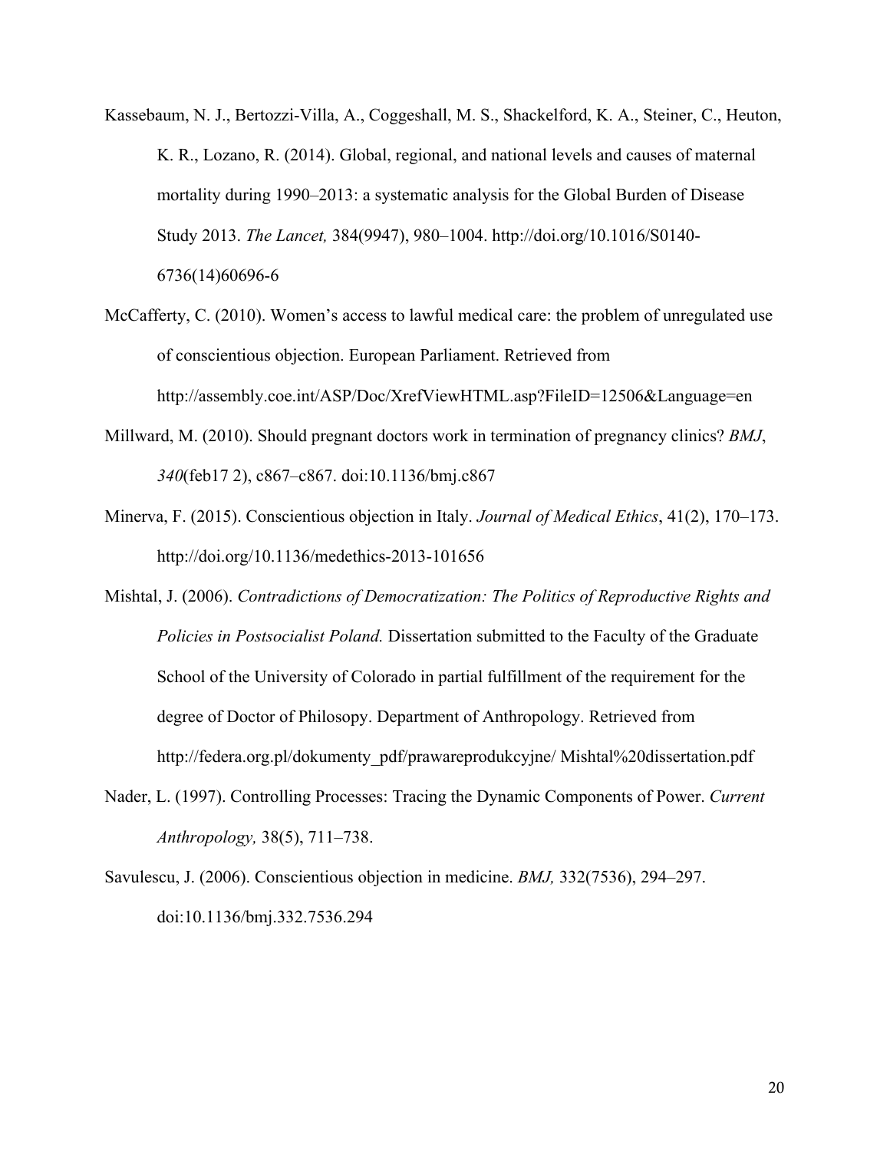- Kassebaum, N. J., Bertozzi-Villa, A., Coggeshall, M. S., Shackelford, K. A., Steiner, C., Heuton, K. R., Lozano, R. (2014). Global, regional, and national levels and causes of maternal mortality during 1990–2013: a systematic analysis for the Global Burden of Disease Study 2013. *The Lancet,* 384(9947), 980–1004. http://doi.org/10.1016/S0140- 6736(14)60696-6
- McCafferty, C. (2010). Women's access to lawful medical care: the problem of unregulated use of conscientious objection. European Parliament. Retrieved from http://assembly.coe.int/ASP/Doc/XrefViewHTML.asp?FileID=12506&Language=en
- Millward, M. (2010). Should pregnant doctors work in termination of pregnancy clinics? *BMJ*, *340*(feb17 2), c867–c867. doi:10.1136/bmj.c867
- Minerva, F. (2015). Conscientious objection in Italy. *Journal of Medical Ethics*, 41(2), 170–173. http://doi.org/10.1136/medethics-2013-101656
- Mishtal, J. (2006). *Contradictions of Democratization: The Politics of Reproductive Rights and Policies in Postsocialist Poland.* Dissertation submitted to the Faculty of the Graduate School of the University of Colorado in partial fulfillment of the requirement for the degree of Doctor of Philosopy. Department of Anthropology. Retrieved from http://federa.org.pl/dokumenty\_pdf/prawareprodukcyjne/ Mishtal%20dissertation.pdf
- Nader, L. (1997). Controlling Processes: Tracing the Dynamic Components of Power. *Current Anthropology,* 38(5), 711–738.
- Savulescu, J. (2006). Conscientious objection in medicine. *BMJ,* 332(7536), 294–297. doi:10.1136/bmj.332.7536.294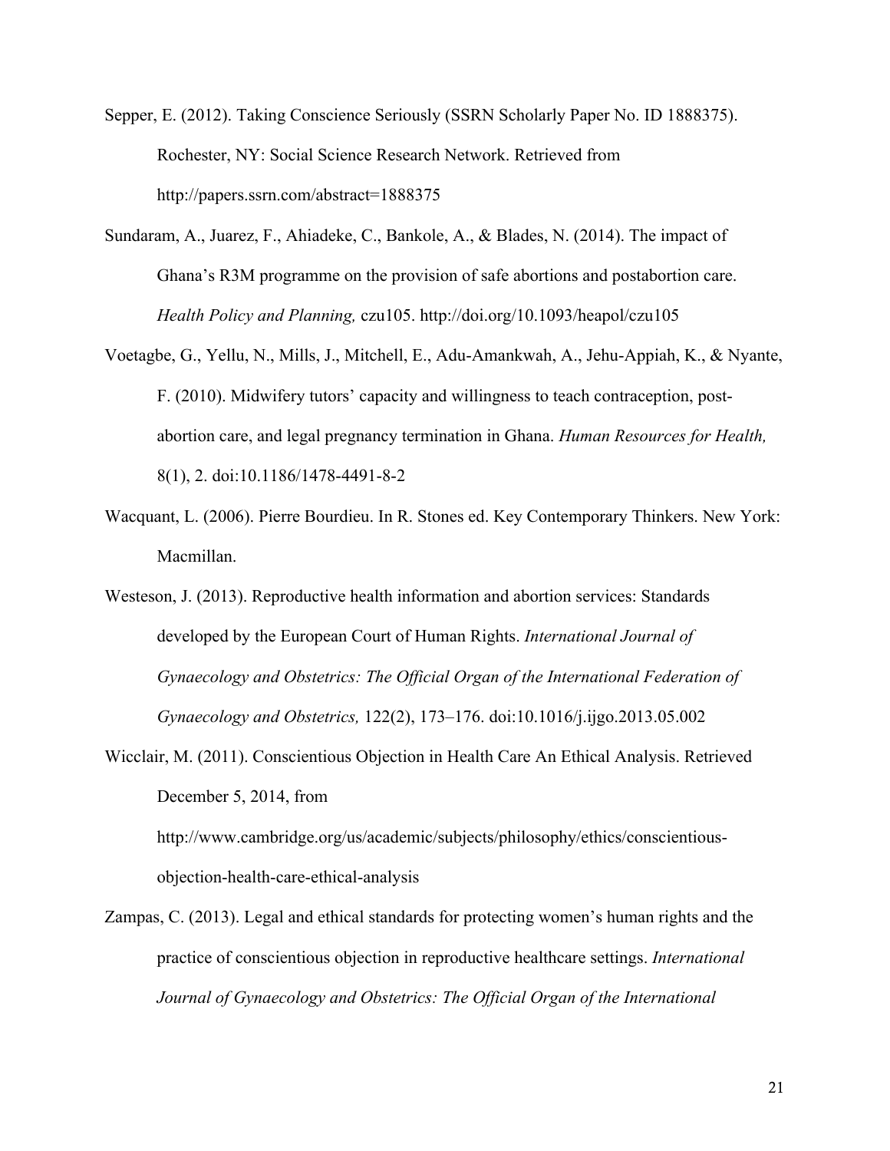Sepper, E. (2012). Taking Conscience Seriously (SSRN Scholarly Paper No. ID 1888375). Rochester, NY: Social Science Research Network. Retrieved from http://papers.ssrn.com/abstract=1888375

- Sundaram, A., Juarez, F., Ahiadeke, C., Bankole, A., & Blades, N. (2014). The impact of Ghana's R3M programme on the provision of safe abortions and postabortion care. *Health Policy and Planning,* czu105. http://doi.org/10.1093/heapol/czu105
- Voetagbe, G., Yellu, N., Mills, J., Mitchell, E., Adu-Amankwah, A., Jehu-Appiah, K., & Nyante, F. (2010). Midwifery tutors' capacity and willingness to teach contraception, postabortion care, and legal pregnancy termination in Ghana. *Human Resources for Health,* 8(1), 2. doi:10.1186/1478-4491-8-2
- Wacquant, L. (2006). Pierre Bourdieu. In R. Stones ed. Key Contemporary Thinkers. New York: Macmillan.
- Westeson, J. (2013). Reproductive health information and abortion services: Standards developed by the European Court of Human Rights. *International Journal of Gynaecology and Obstetrics: The Official Organ of the International Federation of Gynaecology and Obstetrics,* 122(2), 173–176. doi:10.1016/j.ijgo.2013.05.002
- Wicclair, M. (2011). Conscientious Objection in Health Care An Ethical Analysis. Retrieved December 5, 2014, from

http://www.cambridge.org/us/academic/subjects/philosophy/ethics/conscientiousobjection-health-care-ethical-analysis

Zampas, C. (2013). Legal and ethical standards for protecting women's human rights and the practice of conscientious objection in reproductive healthcare settings. *International Journal of Gynaecology and Obstetrics: The Official Organ of the International*